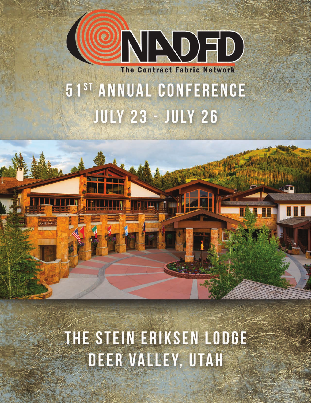

The Contract Fabric Network

# 51ST ANNUAL CONFERENCE **JULY 23 - JULY 26**



THE STEIN ERIKSEN LODGE DEER VALLEY, UTAH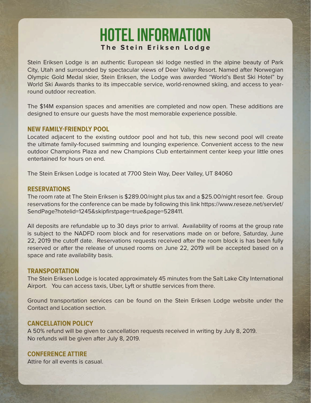## **Hotel information The Stein Eriksen Lodge**

Stein Eriksen Lodge is an authentic European ski lodge nestled in the alpine beauty of Park City, Utah and surrounded by spectacular views of Deer Valley Resort. Named after Norwegian Olympic Gold Medal skier, Stein Eriksen, the Lodge was awarded "World's Best Ski Hotel" by World Ski Awards thanks to its impeccable service, world-renowned skiing, and access to yearround outdoor recreation.

The \$14M expansion spaces and amenities are completed and now open. These additions are designed to ensure our guests have the most memorable experience possible.

#### **NEW FAMILY-FRIENDLY POOL**

Located adjacent to the existing outdoor pool and hot tub, this new second pool will create the ultimate family-focused swimming and lounging experience. Convenient access to the new outdoor Champions Plaza and new Champions Club entertainment center keep your little ones entertained for hours on end.

The Stein Eriksen Lodge is located at 7700 Stein Way, Deer Valley, UT 84060

#### **RESERVATIONS**

The room rate at The Stein Eriksen is \$289.00/night plus tax and a \$25.00/night resort fee. Group reservations for the conference can be made by following this link https://www.reseze.net/servlet/ SendPage?hotelid=1245&skipfirstpage=true&page=528411.

All deposits are refundable up to 30 days prior to arrival. Availability of rooms at the group rate is subject to the NADFD room block and for reservations made on or before, Saturday, June 22, 2019 the cutoff date. Reservations requests received after the room block is has been fully reserved or after the release of unused rooms on June 22, 2019 will be accepted based on a space and rate availability basis.

#### **TRANSPORTATION**

The Stein Eriksen Lodge is located approximately 45 minutes from the Salt Lake City International Airport. You can access taxis, Uber, Lyft or shuttle services from there.

Ground transportation services can be found on the Stein Eriksen Lodge website under the Contact and Location section.

#### **CANCELLATION POLICY**

A 50% refund will be given to cancellation requests received in writing by July 8, 2019. No refunds will be given after July 8, 2019.

#### **CONFERENCE ATTIRE**

Attire for all events is casual.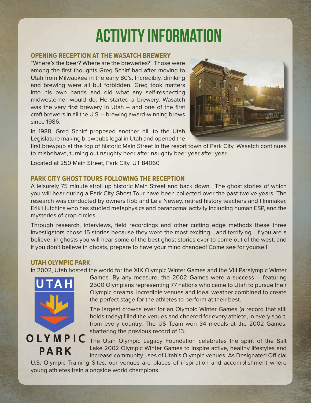# **Activity information**

#### **OPENING RECEPTION AT THE WASATCH BREWERY**

"Where's the beer? Where are the breweries?" Those were among the first thoughts Greg Schirf had after moving to Utah from Milwaukee in the early 80's. Incredibly, drinking and brewing were all but forbidden. Greg took matters into his own hands and did what any self-respecting midwesterner would do: He started a brewery. Wasatch was the very first brewery in Utah – and one of the first craft brewers in all the U.S. – brewing award-winning brews since 1986.

In 1988, Greg Schirf proposed another bill to the Utah Legislature making brewpubs legal in Utah and opened the



first brewpub at the top of historic Main Street in the resort town of Park City. Wasatch continues to misbehave, turning out naughty beer after naughty beer year after year.

Located at 250 Main Street, Park City, UT 84060

#### **PARK CITY GHOST TOURS FOLLOWING THE RECEPTION**

A leisurely 75 minute stroll up historic Main Street and back down. The ghost stories of which you will hear during a Park City Ghost Tour have been collected over the past twelve years. The research was conducted by owners Rob and Lela Newey, retired history teachers and filmmaker, Erik Hutchins who has studied metaphysics and paranormal activity including human ESP, and the mysteries of crop circles.

Through research, interviews, field recordings and other cutting edge methods these three investigators chose 15 stories because they were the most exciting… and terrifying. If you are a believer in ghosts you will hear some of the best ghost stories ever to come out of the west; and if you don't believe in ghosts, prepare to have your mind changed! Come see for yourself!

#### **UTAH OLYMPIC PARK**

In 2002, Utah hosted the world for the XIX Olympic Winter Games and the VIII Paralympic Winter



Games. By any measure, the 2002 Games were a success – featuring 2500 Olympians representing 77 nations who came to Utah to pursue their Olympic dreams. Incredible venues and ideal weather combined to create the perfect stage for the athletes to perform at their best.

The largest crowds ever for an Olympic Winter Games (a record that still holds today) filled the venues and cheered for every athlete, in every sport, from every country. The US Team won 34 medals at the 2002 Games, shattering the previous record of 13.

OLYMPIC The Utah Olympic Legacy Foundation celebrates the spirit of the Salt Lake 2002 Olympic Winter Games to inspire active, healthy lifestyles and PARK increase community uses of Utah's Olympic venues. As Designated Official

U.S. Olympic Training Sites, our venues are places of inspiration and accomplishment where young athletes train alongside world champions.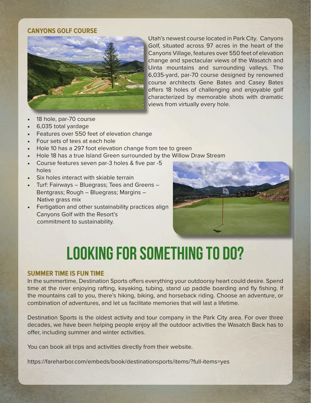#### **CANYONS GOLF COURSE**



Utah's newest course located in Park City. Canyons Golf, situated across 97 acres in the heart of the Canyons Village, features over 550 feet of elevation change and spectacular views of the Wasatch and Uinta mountains and surrounding valleys. The 6,035-yard, par-70 course designed by renowned course architects Gene Bates and Casey Bates offers 18 holes of challenging and enjoyable golf characterized by memorable shots with dramatic views from virtually every hole.

- 18 hole, par-70 course
- 6,035 total yardage
- Features over 550 feet of elevation change
- Four sets of tees at each hole
- Hole 10 has a 297 foot elevation change from tee to green
- Hole 18 has a true Island Green surrounded by the Willow Draw Stream
- Course features seven par-3 holes & five par -5 holes
- Six holes interact with skiable terrain
- Turf: Fairways Bluegrass; Tees and Greens Bentgrass; Rough – Bluegrass; Margins – Native grass mix
- Fertigation and other sustainability practices align Canyons Golf with the Resort's commitment to sustainability.



# **Looking for Something to do?**

#### **SUMMER TIME IS FUN TIME**

In the summertime, Destination Sports offers everything your outdoorsy heart could desire. Spend time at the river enjoying rafting, kayaking, tubing, stand up paddle boarding and fly fishing. If the mountains call to you, there's hiking, biking, and horseback riding. Choose an adventure, or combination of adventures, and let us facilitate memories that will last a lifetime.

Destination Sports is the oldest activity and tour company in the Park City area. For over three decades, we have been helping people enjoy all the outdoor activities the Wasatch Back has to offer, including summer and winter activities.

You can book all trips and activities directly from their website.

https://fareharbor.com/embeds/book/destinationsports/items/?full-items=yes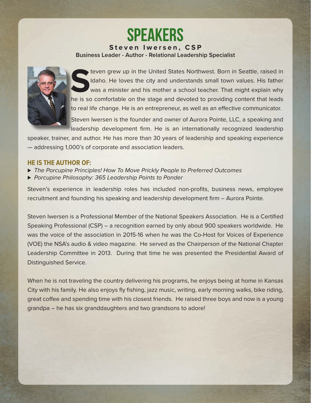



It is the United States Northwest. Born in Seattle, raised in Idaho. He loves the city and understands small town values. His father was a minister and his mother a school teacher. That might explain why he is so comfortab Idaho. He loves the city and understands small town values. His father was a minister and his mother a school teacher. That might explain why he is so comfortable on the stage and devoted to providing content that leads to real life change. He is an entrepreneur, as well as an effective communicator.

Steven Iwersen is the founder and owner of Aurora Pointe, LLC, a speaking and leadership development firm. He is an internationally recognized leadership

speaker, trainer, and author. He has more than 30 years of leadership and speaking experience — addressing 1,000's of corporate and association leaders.

#### **HE IS THE AUTHOR OF:**

- ⊲ *The Porcupine Principles! How To Move Prickly People to Preferred Outcomes*
- ⊲ *Porcupine Philosophy: 365 Leadership Points to Ponder*

Steven's experience in leadership roles has included non-profits, business news, employee recruitment and founding his speaking and leadership development firm – Aurora Pointe.

Steven Iwersen is a Professional Member of the National Speakers Association. He is a Certified Speaking Professional (CSP) – a recognition earned by only about 900 speakers worldwide. He was the voice of the association in 2015-16 when he was the Co-Host for Voices of Experience (VOE) the NSA's audio & video magazine. He served as the Chairperson of the National Chapter Leadership Committee in 2013. During that time he was presented the Presidential Award of Distinguished Service.

When he is not traveling the country delivering his programs, he enjoys being at home in Kansas City with his family. He also enjoys fly fishing, jazz music, writing, early morning walks, bike riding, great coffee and spending time with his closest friends. He raised three boys and now is a young grandpa – he has six granddaughters and two grandsons to adore!